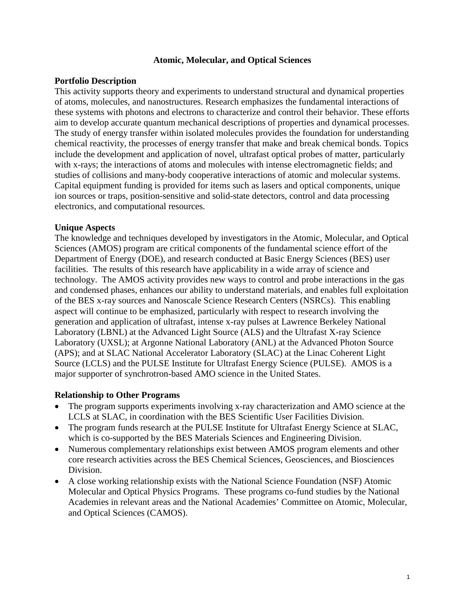### **Atomic, Molecular, and Optical Sciences**

# **Portfolio Description**

This activity supports theory and experiments to understand structural and dynamical properties of atoms, molecules, and nanostructures. Research emphasizes the fundamental interactions of these systems with photons and electrons to characterize and control their behavior. These efforts aim to develop accurate quantum mechanical descriptions of properties and dynamical processes. The study of energy transfer within isolated molecules provides the foundation for understanding chemical reactivity, the processes of energy transfer that make and break chemical bonds. Topics include the development and application of novel, ultrafast optical probes of matter, particularly with x-rays; the interactions of atoms and molecules with intense electromagnetic fields; and studies of collisions and many-body cooperative interactions of atomic and molecular systems. Capital equipment funding is provided for items such as lasers and optical components, unique ion sources or traps, position-sensitive and solid-state detectors, control and data processing electronics, and computational resources.

# **Unique Aspects**

The knowledge and techniques developed by investigators in the Atomic, Molecular, and Optical Sciences (AMOS) program are critical components of the fundamental science effort of the Department of Energy (DOE), and research conducted at Basic Energy Sciences (BES) user facilities. The results of this research have applicability in a wide array of science and technology. The AMOS activity provides new ways to control and probe interactions in the gas and condensed phases, enhances our ability to understand materials, and enables full exploitation of the BES x-ray sources and Nanoscale Science Research Centers (NSRCs). This enabling aspect will continue to be emphasized, particularly with respect to research involving the generation and application of ultrafast, intense x-ray pulses at Lawrence Berkeley National Laboratory (LBNL) at the Advanced Light Source (ALS) and the Ultrafast X-ray Science Laboratory (UXSL); at Argonne National Laboratory (ANL) at the Advanced Photon Source (APS); and at SLAC National Accelerator Laboratory (SLAC) at the Linac Coherent Light Source (LCLS) and the PULSE Institute for Ultrafast Energy Science (PULSE). AMOS is a major supporter of synchrotron-based AMO science in the United States.

### **Relationship to Other Programs**

- The program supports experiments involving x-ray characterization and AMO science at the LCLS at SLAC, in coordination with the BES Scientific User Facilities Division.
- The program funds research at the PULSE Institute for Ultrafast Energy Science at SLAC, which is co-supported by the BES Materials Sciences and Engineering Division.
- Numerous complementary relationships exist between AMOS program elements and other core research activities across the BES Chemical Sciences, Geosciences, and Biosciences Division.
- A close working relationship exists with the National Science Foundation (NSF) Atomic Molecular and Optical Physics Programs. These programs co-fund studies by the National Academies in relevant areas and the National Academies' Committee on Atomic, Molecular, and Optical Sciences (CAMOS).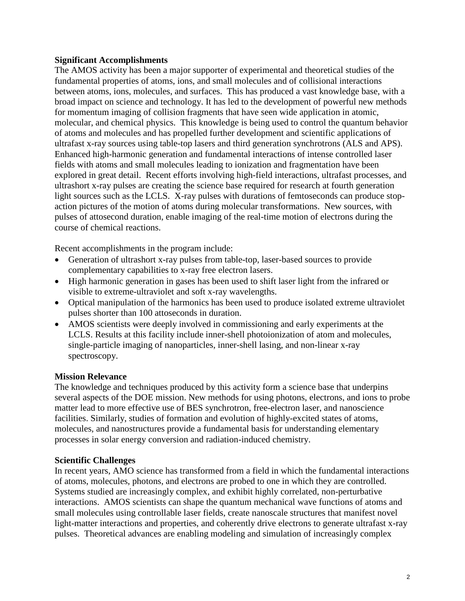# **Significant Accomplishments**

The AMOS activity has been a major supporter of experimental and theoretical studies of the fundamental properties of atoms, ions, and small molecules and of collisional interactions between atoms, ions, molecules, and surfaces. This has produced a vast knowledge base, with a broad impact on science and technology. It has led to the development of powerful new methods for momentum imaging of collision fragments that have seen wide application in atomic, molecular, and chemical physics. This knowledge is being used to control the quantum behavior of atoms and molecules and has propelled further development and scientific applications of ultrafast x-ray sources using table-top lasers and third generation synchrotrons (ALS and APS). Enhanced high-harmonic generation and fundamental interactions of intense controlled laser fields with atoms and small molecules leading to ionization and fragmentation have been explored in great detail. Recent efforts involving high-field interactions, ultrafast processes, and ultrashort x-ray pulses are creating the science base required for research at fourth generation light sources such as the LCLS. X-ray pulses with durations of femtoseconds can produce stopaction pictures of the motion of atoms during molecular transformations. New sources, with pulses of attosecond duration, enable imaging of the real-time motion of electrons during the course of chemical reactions.

Recent accomplishments in the program include:

- Generation of ultrashort x-ray pulses from table-top, laser-based sources to provide complementary capabilities to x-ray free electron lasers.
- High harmonic generation in gases has been used to shift laser light from the infrared or visible to extreme-ultraviolet and soft x-ray wavelengths.
- Optical manipulation of the harmonics has been used to produce isolated extreme ultraviolet pulses shorter than 100 attoseconds in duration.
- AMOS scientists were deeply involved in commissioning and early experiments at the LCLS. Results at this facility include inner-shell photoionization of atom and molecules, single-particle imaging of nanoparticles, inner-shell lasing, and non-linear x-ray spectroscopy.

### **Mission Relevance**

The knowledge and techniques produced by this activity form a science base that underpins several aspects of the DOE mission. New methods for using photons, electrons, and ions to probe matter lead to more effective use of BES synchrotron, free-electron laser, and nanoscience facilities. Similarly, studies of formation and evolution of highly-excited states of atoms, molecules, and nanostructures provide a fundamental basis for understanding elementary processes in solar energy conversion and radiation-induced chemistry.

### **Scientific Challenges**

In recent years, AMO science has transformed from a field in which the fundamental interactions of atoms, molecules, photons, and electrons are probed to one in which they are controlled. Systems studied are increasingly complex, and exhibit highly correlated, non-perturbative interactions. AMOS scientists can shape the quantum mechanical wave functions of atoms and small molecules using controllable laser fields, create nanoscale structures that manifest novel light-matter interactions and properties, and coherently drive electrons to generate ultrafast x-ray pulses. Theoretical advances are enabling modeling and simulation of increasingly complex